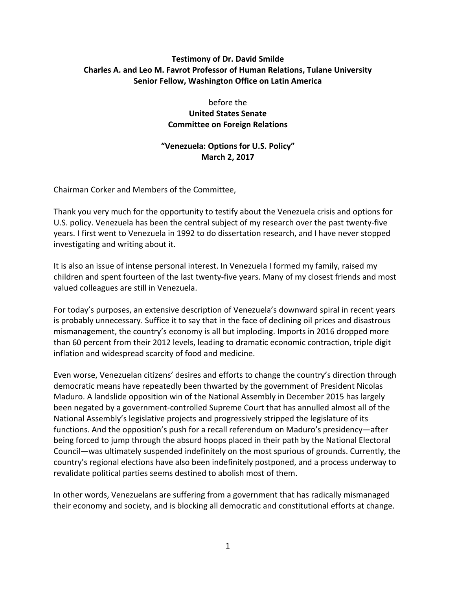## **Testimony of Dr. David Smilde Charles A. and Leo M. Favrot Professor of Human Relations, Tulane University Senior Fellow, Washington Office on Latin America**

before the **United States Senate Committee on Foreign Relations**

## **"Venezuela: Options for U.S. Policy" March 2, 2017**

Chairman Corker and Members of the Committee,

Thank you very much for the opportunity to testify about the Venezuela crisis and options for U.S. policy. Venezuela has been the central subject of my research over the past twenty-five years. I first went to Venezuela in 1992 to do dissertation research, and I have never stopped investigating and writing about it.

It is also an issue of intense personal interest. In Venezuela I formed my family, raised my children and spent fourteen of the last twenty-five years. Many of my closest friends and most valued colleagues are still in Venezuela.

For today's purposes, an extensive description of Venezuela's downward spiral in recent years is probably unnecessary. Suffice it to say that in the face of declining oil prices and disastrous mismanagement, the country's economy is all but imploding. Imports in 2016 dropped more than 60 percent from their 2012 levels, leading to dramatic economic contraction, triple digit inflation and widespread scarcity of food and medicine.

Even worse, Venezuelan citizens' desires and efforts to change the country's direction through democratic means have repeatedly been thwarted by the government of President Nicolas Maduro. A landslide opposition win of the National Assembly in December 2015 has largely been negated by a government-controlled Supreme Court that has annulled almost all of the National Assembly's legislative projects and progressively stripped the legislature of its functions. And the opposition's push for a recall referendum on Maduro's presidency—after being forced to jump through the absurd hoops placed in their path by the National Electoral Council—was ultimately suspended indefinitely on the most spurious of grounds. Currently, the country's regional elections have also been indefinitely postponed, and a process underway to revalidate political parties seems destined to abolish most of them.

In other words, Venezuelans are suffering from a government that has radically mismanaged their economy and society, and is blocking all democratic and constitutional efforts at change.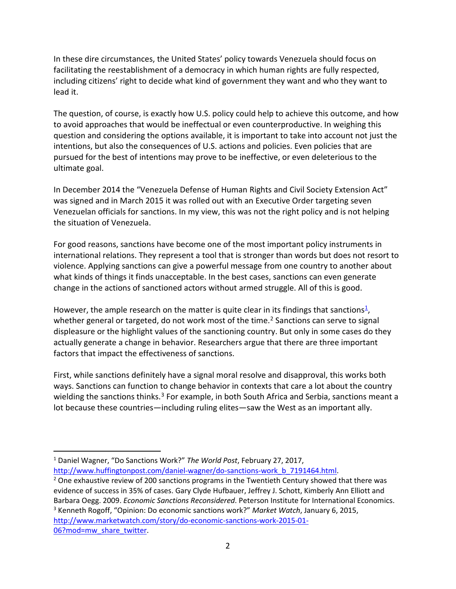In these dire circumstances, the United States' policy towards Venezuela should focus on facilitating the reestablishment of a democracy in which human rights are fully respected, including citizens' right to decide what kind of government they want and who they want to lead it.

The question, of course, is exactly how U.S. policy could help to achieve this outcome, and how to avoid approaches that would be ineffectual or even counterproductive. In weighing this question and considering the options available, it is important to take into account not just the intentions, but also the consequences of U.S. actions and policies. Even policies that are pursued for the best of intentions may prove to be ineffective, or even deleterious to the ultimate goal.

In December 2014 the "Venezuela Defense of Human Rights and Civil Society Extension Act" was signed and in March 2015 it was rolled out with an Executive Order targeting seven Venezuelan officials for sanctions. In my view, this was not the right policy and is not helping the situation of Venezuela.

For good reasons, sanctions have become one of the most important policy instruments in international relations. They represent a tool that is stronger than words but does not resort to violence. Applying sanctions can give a powerful message from one country to another about what kinds of things it finds unacceptable. In the best cases, sanctions can even generate change in the actions of sanctioned actors without armed struggle. All of this is good.

However, the ample research on the matter is quite clear in its findings that sanctions<sup>[1](#page-1-0)</sup>, whether general or targeted, do not work most of the time.<sup>[2](#page-1-1)</sup> Sanctions can serve to signal displeasure or the highlight values of the sanctioning country. But only in some cases do they actually generate a change in behavior. Researchers argue that there are three important factors that impact the effectiveness of sanctions.

First, while sanctions definitely have a signal moral resolve and disapproval, this works both ways. Sanctions can function to change behavior in contexts that care a lot about the country wielding the sanctions thinks.<sup>[3](#page-1-2)</sup> For example, in both South Africa and Serbia, sanctions meant a lot because these countries—including ruling elites—saw the West as an important ally.

<span id="page-1-0"></span> <sup>1</sup> Daniel Wagner, "Do Sanctions Work?" *The World Post*, February 27, 2017, [http://www.huffingtonpost.com/daniel-wagner/do-sanctions-work\\_b\\_7191464.html.](http://www.huffingtonpost.com/daniel-wagner/do-sanctions-work_b_7191464.html)

<span id="page-1-2"></span><span id="page-1-1"></span> $2$  One exhaustive review of 200 sanctions programs in the Twentieth Century showed that there was evidence of success in 35% of cases. Gary Clyde Hufbauer, Jeffrey J. Schott, Kimberly Ann Elliott and Barbara Oegg. 2009. *Economic Sanctions Reconsidered*. Peterson Institute for International Economics. <sup>3</sup> Kenneth Rogoff, "Opinion: Do economic sanctions work?" *Market Watch*, January 6, 2015, [http://www.marketwatch.com/story/do-economic-sanctions-work-2015-01-](http://www.marketwatch.com/story/do-economic-sanctions-work-2015-01-06?mod=mw_share_twitter) [06?mod=mw\\_share\\_twitter.](http://www.marketwatch.com/story/do-economic-sanctions-work-2015-01-06?mod=mw_share_twitter)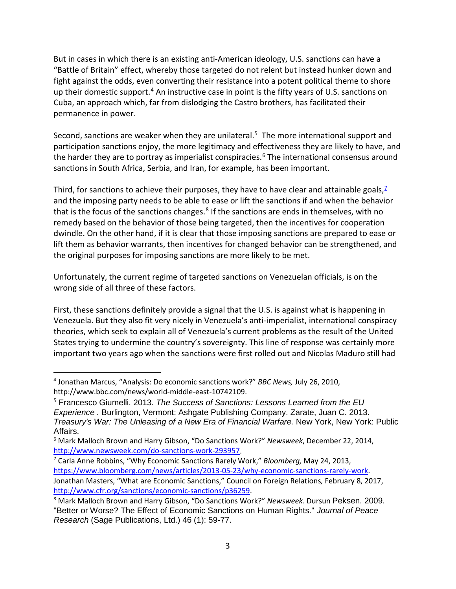But in cases in which there is an existing anti-American ideology, U.S. sanctions can have a "Battle of Britain" effect, whereby those targeted do not relent but instead hunker down and fight against the odds, even converting their resistance into a potent political theme to shore up their domestic support.<sup>[4](#page-2-0)</sup> An instructive case in point is the fifty years of U.S. sanctions on Cuba, an approach which, far from dislodging the Castro brothers, has facilitated their permanence in power.

Second, sanctions are weaker when they are unilateral.<sup>[5](#page-2-1)</sup> The more international support and participation sanctions enjoy, the more legitimacy and effectiveness they are likely to have, and the harder they are to portray as imperialist conspiracies.<sup>[6](#page-2-2)</sup> The international consensus around sanctions in South Africa, Serbia, and Iran, for example, has been important.

Third, for sanctions to achieve their purposes, they have to have clear and attainable goals,<sup>Z</sup> and the imposing party needs to be able to ease or lift the sanctions if and when the behavior that is the focus of the sanctions changes.<sup>[8](#page-2-4)</sup> If the sanctions are ends in themselves, with no remedy based on the behavior of those being targeted, then the incentives for cooperation dwindle. On the other hand, if it is clear that those imposing sanctions are prepared to ease or lift them as behavior warrants, then incentives for changed behavior can be strengthened, and the original purposes for imposing sanctions are more likely to be met.

Unfortunately, the current regime of targeted sanctions on Venezuelan officials, is on the wrong side of all three of these factors.

First, these sanctions definitely provide a signal that the U.S. is against what is happening in Venezuela. But they also fit very nicely in Venezuela's anti-imperialist, international conspiracy theories, which seek to explain all of Venezuela's current problems as the result of the United States trying to undermine the country's sovereignty. This line of response was certainly more important two years ago when the sanctions were first rolled out and Nicolas Maduro still had

<span id="page-2-0"></span> <sup>4</sup> Jonathan Marcus, "Analysis: Do economic sanctions work?" *BBC News,* July 26, 2010, http://www.bbc.com/news/world-middle-east-10742109.

<span id="page-2-1"></span><sup>5</sup> Francesco Giumelli. 2013. *The Success of Sanctions: Lessons Learned from the EU Experience .* Burlington, Vermont: Ashgate Publishing Company. Zarate, Juan C. 2013. *Treasury's War: The Unleasing of a New Era of Financial Warfare.* New York, New York: Public Affairs.

<span id="page-2-2"></span><sup>6</sup> Mark Malloch Brown and Harry Gibson, "Do Sanctions Work?" *Newsweek*, December 22, 2014, [http://www.newsweek.com/do-sanctions-work-293957.](http://www.newsweek.com/do-sanctions-work-293957)<br><sup>7</sup> Carla Anne Robbins, "Why Economic Sanctions Rarely Work," *Bloomberg*, May 24, 2013,

<span id="page-2-3"></span>[https://www.bloomberg.com/news/articles/2013-05-23/why-economic-sanctions-rarely-work.](https://www.bloomberg.com/news/articles/2013-05-23/why-economic-sanctions-rarely-work) Jonathan Masters, "What are Economic Sanctions," Council on Foreign Relations*,* February 8, 2017, [http://www.cfr.org/sanctions/economic-sanctions/p36259.](http://www.cfr.org/sanctions/economic-sanctions/p36259)

<span id="page-2-4"></span><sup>8</sup> Mark Malloch Brown and Harry Gibson, "Do Sanctions Work?" *Newsweek*. Dursun Peksen. 2009. "Better or Worse? The Effect of Economic Sanctions on Human Rights." *Journal of Peace Research* (Sage Publications, Ltd.) 46 (1): 59-77.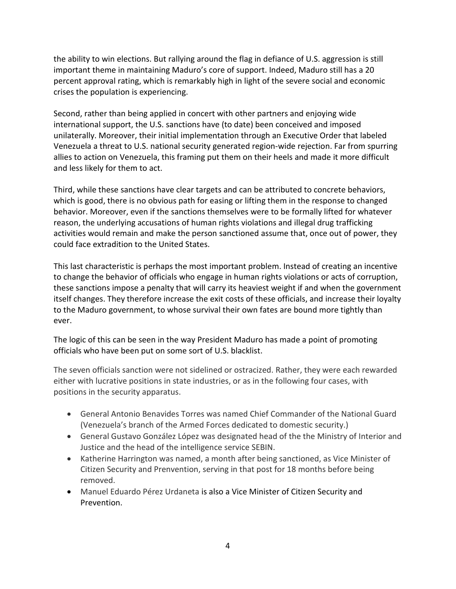the ability to win elections. But rallying around the flag in defiance of U.S. aggression is still important theme in maintaining Maduro's core of support. Indeed, Maduro still has a 20 percent approval rating, which is remarkably high in light of the severe social and economic crises the population is experiencing.

Second, rather than being applied in concert with other partners and enjoying wide international support, the U.S. sanctions have (to date) been conceived and imposed unilaterally. Moreover, their initial implementation through an Executive Order that labeled Venezuela a threat to U.S. national security generated region-wide rejection. Far from spurring allies to action on Venezuela, this framing put them on their heels and made it more difficult and less likely for them to act.

Third, while these sanctions have clear targets and can be attributed to concrete behaviors, which is good, there is no obvious path for easing or lifting them in the response to changed behavior. Moreover, even if the sanctions themselves were to be formally lifted for whatever reason, the underlying accusations of human rights violations and illegal drug trafficking activities would remain and make the person sanctioned assume that, once out of power, they could face extradition to the United States.

This last characteristic is perhaps the most important problem. Instead of creating an incentive to change the behavior of officials who engage in human rights violations or acts of corruption, these sanctions impose a penalty that will carry its heaviest weight if and when the government itself changes. They therefore increase the exit costs of these officials, and increase their loyalty to the Maduro government, to whose survival their own fates are bound more tightly than ever.

The logic of this can be seen in the way President Maduro has made a point of promoting officials who have been put on some sort of U.S. blacklist.

The seven officials sanction were not sidelined or ostracized. Rather, they were each rewarded either with lucrative positions in state industries, or as in the following four cases, with positions in the security apparatus.

- General Antonio Benavides Torres was named Chief Commander of the National Guard (Venezuela's branch of the Armed Forces dedicated to domestic security.)
- General Gustavo González López was designated head of the the Ministry of Interior and Justice and the head of the intelligence service SEBIN.
- Katherine Harrington was named, a month after being sanctioned, as Vice Minister of Citizen Security and Prenvention, serving in that post for 18 months before being removed.
- Manuel Eduardo Pérez Urdaneta is also a Vice Minister of Citizen Security and Prevention.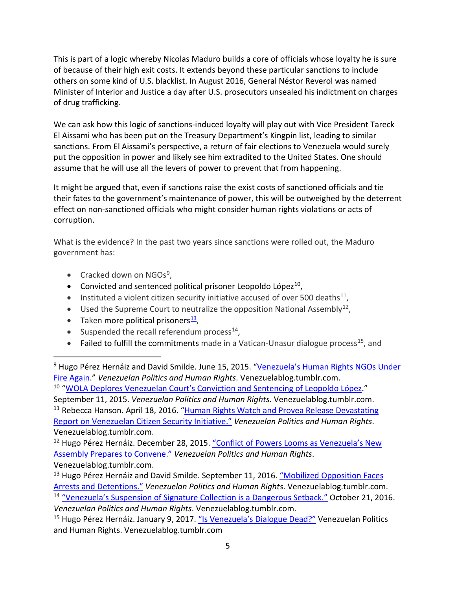This is part of a logic whereby Nicolas Maduro builds a core of officials whose loyalty he is sure of because of their high exit costs. It extends beyond these particular sanctions to include others on some kind of U.S. blacklist. In August 2016, General Néstor Reverol was named Minister of Interior and Justice a day after U.S. prosecutors unsealed his indictment on charges of drug trafficking.

We can ask how this logic of sanctions-induced loyalty will play out with Vice President Tareck El Aissami who has been put on the Treasury Department's Kingpin list, leading to similar sanctions. From El Aissami's perspective, a return of fair elections to Venezuela would surely put the opposition in power and likely see him extradited to the United States. One should assume that he will use all the levers of power to prevent that from happening.

It might be argued that, even if sanctions raise the exist costs of sanctioned officials and tie their fates to the government's maintenance of power, this will be outweighed by the deterrent effect on non-sanctioned officials who might consider human rights violations or acts of corruption.

What is the evidence? In the past two years since sanctions were rolled out, the Maduro government has:

- Cracked down on  $NGOs<sup>9</sup>$  $NGOs<sup>9</sup>$  $NGOs<sup>9</sup>$ ,
- Convicted and sentenced political prisoner Leopoldo López $^{10}$  $^{10}$  $^{10}$ ,
- Instituted a violent citizen security initiative accused of over 500 deaths $^{11}$  $^{11}$  $^{11}$ ,
- Used the Supreme Court to neutralize the opposition National Assembly<sup>[12](#page-4-3)</sup>,
- Taken more political prisoners $\frac{13}{2}$  $\frac{13}{2}$  $\frac{13}{2}$ ,
- Suspended the recall referendum process $^{14}$ ,
- Failed to fulfill the commitments made in a Vatican-Unasur dialogue process<sup>15</sup>, and

<span id="page-4-1"></span><span id="page-4-0"></span><sup>9</sup> Hugo Pérez Hernáiz and David Smilde. June 15, 2015. "Venezuela's Human Rights NGOs Under [Fire Again.](http://venezuelablog.tumblr.com/post/121586515824/venezuelas-human-rights-ngos-under-fire-again)" *Venezuelan Politics and Human Rights*. Venezuelablog.tumblr.com. <sup>10</sup> "WOLA Deplores Venezuelan Court's Conviction and **Sentencing of Leopoldo López.**" September 11, 2015. *Venezuelan Politics and Human Rights*. Venezuelablog.tumblr.com.

<span id="page-4-2"></span><sup>11</sup> Rebecca Hanson. April 18, 2016. "Human Rights Watch and Provea Release Devastating [Report on Venezuelan Citizen Security Initiative."](http://venezuelablog.tumblr.com/post/143005225998/human-rights-watch-and-provea-release-devastating) *Venezuelan Politics and Human Rights*. Venezuelablog.tumblr.com.

<span id="page-4-3"></span><sup>12</sup> Hugo Pérez Hernáiz. December 28, 2015. "Conflict of Powers Looms as Venezuela's New [Assembly Prepares to Convene."](http://venezuelablog.tumblr.com/post/136116501284/conflict-of-powers-looms-as-venezuelas-new) *Venezuelan Politics and Human Rights*. Venezuelablog.tumblr.com.

<span id="page-4-4"></span><sup>13</sup> Hugo Pérez Hernáiz and David Smilde. September 11, 2016. "Mobilized Opposition Faces [Arrests and Detentions."](http://venezuelablog.tumblr.com/post/150260074059/mobilized-opposition-faces-arrests-and-detentions) *Venezuelan Politics and Human Rights*. Venezuelablog.tumblr.com.

<span id="page-4-5"></span><sup>14</sup> ["Venezuela's Suspension of Signature Collection is a Dangerous Setback."](http://venezuelablog.tumblr.com/post/152124542509/wola-statement-venezuelas-suspension-of) October 21, 2016. *Venezuelan Politics and Human Rights*. Venezuelablog.tumblr.com.

<span id="page-4-6"></span><sup>&</sup>lt;sup>15</sup> Hugo Pérez Hernáiz. January 9, 2017. ["Is Venezuela's Dialogue Dead?"](http://venezuelablog.tumblr.com/post/155623359944/is-venezuelas-dialogue-dead) Venezuelan Politics and Human Rights. Venezuelablog.tumblr.com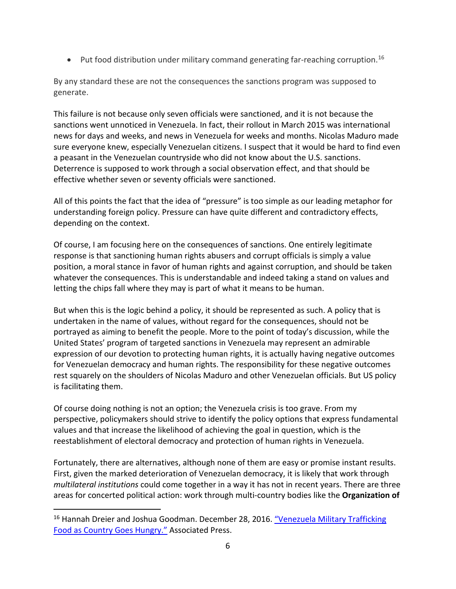• Put food distribution under military command generating far-reaching corruption.<sup>[16](#page-5-0)</sup>

By any standard these are not the consequences the sanctions program was supposed to generate.

This failure is not because only seven officials were sanctioned, and it is not because the sanctions went unnoticed in Venezuela. In fact, their rollout in March 2015 was international news for days and weeks, and news in Venezuela for weeks and months. Nicolas Maduro made sure everyone knew, especially Venezuelan citizens. I suspect that it would be hard to find even a peasant in the Venezuelan countryside who did not know about the U.S. sanctions. Deterrence is supposed to work through a social observation effect, and that should be effective whether seven or seventy officials were sanctioned.

All of this points the fact that the idea of "pressure" is too simple as our leading metaphor for understanding foreign policy. Pressure can have quite different and contradictory effects, depending on the context.

Of course, I am focusing here on the consequences of sanctions. One entirely legitimate response is that sanctioning human rights abusers and corrupt officials is simply a value position, a moral stance in favor of human rights and against corruption, and should be taken whatever the consequences. This is understandable and indeed taking a stand on values and letting the chips fall where they may is part of what it means to be human.

But when this is the logic behind a policy, it should be represented as such. A policy that is undertaken in the name of values, without regard for the consequences, should not be portrayed as aiming to benefit the people. More to the point of today's discussion, while the United States' program of targeted sanctions in Venezuela may represent an admirable expression of our devotion to protecting human rights, it is actually having negative outcomes for Venezuelan democracy and human rights. The responsibility for these negative outcomes rest squarely on the shoulders of Nicolas Maduro and other Venezuelan officials. But US policy is facilitating them.

Of course doing nothing is not an option; the Venezuela crisis is too grave. From my perspective, policymakers should strive to identify the policy options that express fundamental values and that increase the likelihood of achieving the goal in question, which is the reestablishment of electoral democracy and protection of human rights in Venezuela.

Fortunately, there are alternatives, although none of them are easy or promise instant results. First, given the marked deterioration of Venezuelan democracy, it is likely that work through *multilateral institutions* could come together in a way it has not in recent years. There are three areas for concerted political action: work through multi-country bodies like the **Organization of** 

<span id="page-5-0"></span><sup>&</sup>lt;sup>16</sup> Hannah Dreier and Joshua Goodman. December 28, 2016. "Venezuela Military Trafficking [Food as Country Goes Hungry."](http://bigstory.ap.org/article/64794f2594de47328b910dc29dd7c996/venezuela-military-trafficking-food-country-goes-hungry) Associated Press.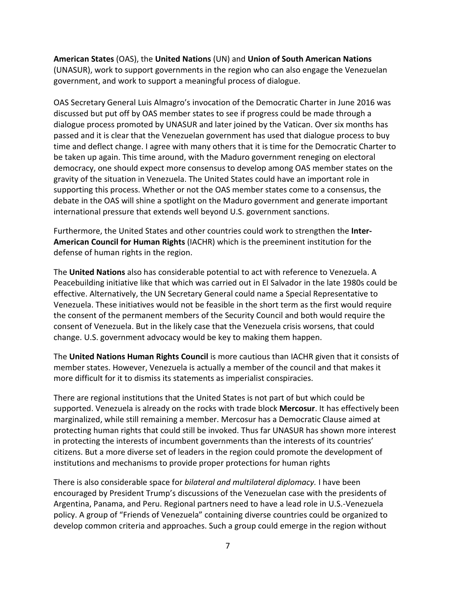## **American States** (OAS), the **United Nations** (UN) and **Union of South American Nations**

(UNASUR), work to support governments in the region who can also engage the Venezuelan government, and work to support a meaningful process of dialogue.

OAS Secretary General Luis Almagro's invocation of the Democratic Charter in June 2016 was discussed but put off by OAS member states to see if progress could be made through a dialogue process promoted by UNASUR and later joined by the Vatican. Over six months has passed and it is clear that the Venezuelan government has used that dialogue process to buy time and deflect change. I agree with many others that it is time for the Democratic Charter to be taken up again. This time around, with the Maduro government reneging on electoral democracy, one should expect more consensus to develop among OAS member states on the gravity of the situation in Venezuela. The United States could have an important role in supporting this process. Whether or not the OAS member states come to a consensus, the debate in the OAS will shine a spotlight on the Maduro government and generate important international pressure that extends well beyond U.S. government sanctions.

Furthermore, the United States and other countries could work to strengthen the **Inter-American Council for Human Rights** (IACHR) which is the preeminent institution for the defense of human rights in the region.

The **United Nations** also has considerable potential to act with reference to Venezuela. A Peacebuilding initiative like that which was carried out in El Salvador in the late 1980s could be effective. Alternatively, the UN Secretary General could name a Special Representative to Venezuela. These initiatives would not be feasible in the short term as the first would require the consent of the permanent members of the Security Council and both would require the consent of Venezuela. But in the likely case that the Venezuela crisis worsens, that could change. U.S. government advocacy would be key to making them happen.

The **United Nations Human Rights Council** is more cautious than IACHR given that it consists of member states. However, Venezuela is actually a member of the council and that makes it more difficult for it to dismiss its statements as imperialist conspiracies.

There are regional institutions that the United States is not part of but which could be supported. Venezuela is already on the rocks with trade block **Mercosur**. It has effectively been marginalized, while still remaining a member. Mercosur has a Democratic Clause aimed at protecting human rights that could still be invoked. Thus far UNASUR has shown more interest in protecting the interests of incumbent governments than the interests of its countries' citizens. But a more diverse set of leaders in the region could promote the development of institutions and mechanisms to provide proper protections for human rights

There is also considerable space for *bilateral and multilateral diplomacy.* I have been encouraged by President Trump's discussions of the Venezuelan case with the presidents of Argentina, Panama, and Peru. Regional partners need to have a lead role in U.S.-Venezuela policy. A group of "Friends of Venezuela" containing diverse countries could be organized to develop common criteria and approaches. Such a group could emerge in the region without